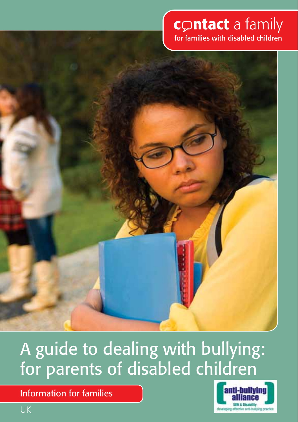# contact a family

for families with disabled children



# A guide to dealing with bullying: for parents of disabled children

Information for families

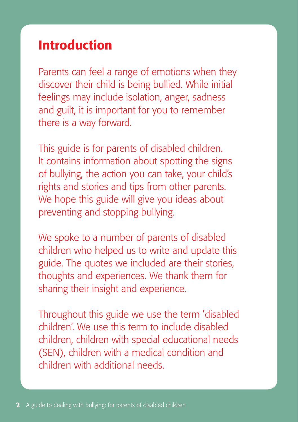# Introduction

Parents can feel a range of emotions when they discover their child is being bullied. While initial feelings may include isolation, anger, sadness and guilt, it is important for you to remember there is a way forward.

This guide is for parents of disabled children. It contains information about spotting the signs of bullying, the action you can take, your child's rights and stories and tips from other parents. We hope this guide will give you ideas about preventing and stopping bullying.

We spoke to a number of parents of disabled children who helped us to write and update this guide. The quotes we included are their stories, thoughts and experiences. We thank them for sharing their insight and experience.

Throughout this guide we use the term 'disabled children'. We use this term to include disabled children, children with special educational needs (SEN), children with a medical condition and children with additional needs.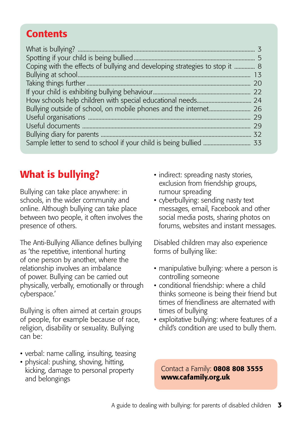# <span id="page-2-0"></span>**Contents**

| Coping with the effects of bullying and developing strategies to stop it  8 |    |
|-----------------------------------------------------------------------------|----|
|                                                                             |    |
|                                                                             | 20 |
|                                                                             |    |
|                                                                             |    |
|                                                                             |    |
|                                                                             | 29 |
|                                                                             | 29 |
|                                                                             |    |
|                                                                             |    |

# What is bullying?

Bullying can take place anywhere: in schools, in the wider community and online. Although bullying can take place between two people, it often involves the presence of others.

The Anti-Bullying Alliance defines bullying as 'the repetitive, intentional hurting of one person by another, where the relationship involves an imbalance of power. Bullying can be carried out physically, verbally, emotionally or through cyberspace.'

Bullying is often aimed at certain groups of people, for example because of race, religion, disability or sexuality. Bullying can be:

- verbal: name calling, insulting, teasing
- physical: pushing, shoving, hitting, kicking, damage to personal property and belongings
- indirect: spreading nasty stories. exclusion from friendship groups, rumour spreading
- cyberbullying: sending nasty text messages, email, Facebook and other social media posts, sharing photos on forums, websites and instant messages.

Disabled children may also experience forms of bullying like:

- manipulative bullying: where a person is controlling someone
- conditional friendship: where a child thinks someone is being their friend but times of friendliness are alternated with times of bullying
- exploitative bullying: where features of a child's condition are used to bully them.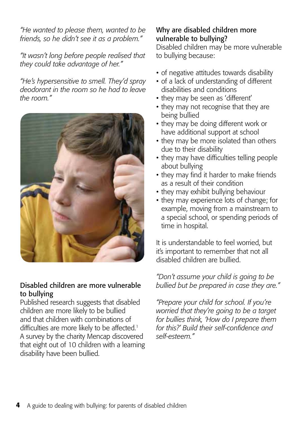*"He wanted to please them, wanted to be friends, so he didn't see it as a problem."*

*"It wasn't long before people realised that they could take advantage of her."*

*"He's hypersensitive to smell. They'd spray deodorant in the room so he had to leave the room."*



#### Disabled children are more vulnerable to bullying

Published research suggests that disabled children are more likely to be bullied and that children with combinations of difficulties are more likely to be affected.<sup>1</sup> A survey by the charity Mencap discovered that eight out of 10 children with a learning disability have been bullied.

#### Why are disabled children more vulnerable to bullying?

Disabled children may be more vulnerable to bullying because:

- of negative attitudes towards disability
- of a lack of understanding of different disabilities and conditions
- they may be seen as 'different'
- they may not recognise that they are being bullied
- they may be doing different work or have additional support at school
- they may be more isolated than others due to their disability
- they may have difficulties telling people about bullying
- they may find it harder to make friends as a result of their condition
- they may exhibit bullying behaviour
- they may experience lots of change; for example, moving from a mainstream to a special school, or spending periods of time in hospital.

It is understandable to feel worried, but it's important to remember that not all disabled children are bullied.

*"Don't assume your child is going to be bullied but be prepared in case they are."*

*"Prepare your child for school. If you're worried that they're going to be a target for bullies think, 'How do I prepare them for this?' Build their self-confidence and self-esteem."*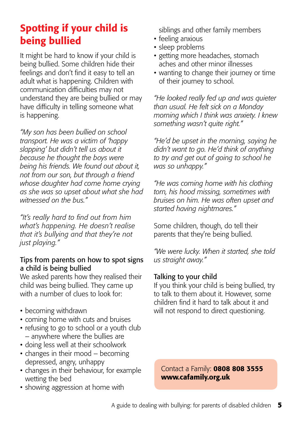# <span id="page-4-0"></span>Spotting if your child is being bullied

It might be hard to know if your child is being bullied. Some children hide their feelings and don't find it easy to tell an adult what is happening. Children with communication difficulties may not understand they are being bullied or may have difficulty in telling someone what is happening.

*"My son has been bullied on school transport. He was a victim of 'happy slapping' but didn't tell us about it because he thought the boys were being his friends. We found out about it, not from our son, but through a friend whose daughter had come home crying as she was so upset about what she had witnessed on the bus."*

*"It's really hard to find out from him what's happening. He doesn't realise that it's bullying and that they're not just playing."*

#### Tips from parents on how to spot signs a child is being bullied

We asked parents how they realised their child was being bullied. They came up with a number of clues to look for:

- becoming withdrawn
- coming home with cuts and bruises
- refusing to go to school or a youth club – anywhere where the bullies are
- doing less well at their schoolwork
- changes in their mood becoming depressed, angry, unhappy
- changes in their behaviour, for example wetting the bed
- showing aggression at home with

siblings and other family members

- feeling anxious
- sleep problems
- getting more headaches, stomach aches and other minor illnesses
- wanting to change their journey or time of their journey to school.

*"He looked really fed up and was quieter than usual. He felt sick on a Monday morning which I think was anxiety. I knew something wasn't quite right."*

*"He'd be upset in the morning, saying he didn't want to go. He'd think of anything to try and get out of going to school he was so unhappy."*

*"He was coming home with his clothing torn, his hood missing, sometimes with bruises on him. He was often upset and started having nightmares."*

Some children, though, do tell their parents that they're being bullied.

*"We were lucky. When it started, she told us straight away."*

# Talking to your child

If you think your child is being bullied, try to talk to them about it. However, some children find it hard to talk about it and will not respond to direct questioning.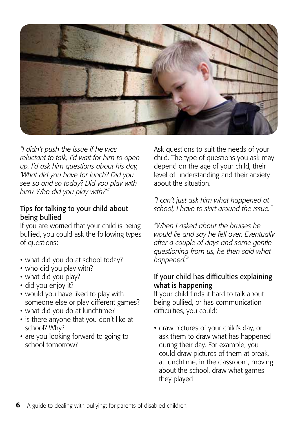

*"I didn't push the issue if he was reluctant to talk, I'd wait for him to open up. I'd ask him questions about his day, 'What did you have for lunch? Did you see so and so today? Did you play with him? Who did you play with?'"* 

#### Tips for talking to your child about being bullied

If you are worried that your child is being bullied, you could ask the following types of questions:

- what did you do at school today?
- who did you play with?
- what did you play?
- did you enjoy it?
- would you have liked to play with someone else or play different games?
- what did you do at lunchtime?
- is there anyone that you don't like at school? Why?
- are you looking forward to going to school tomorrow?

Ask questions to suit the needs of your child. The type of questions you ask may depend on the age of your child, their level of understanding and their anxiety about the situation.

*"I can't just ask him what happened at school, I have to skirt around the issue."*

*"When I asked about the bruises he would lie and say he fell over. Eventually after a couple of days and some gentle questioning from us, he then said what happened."*

#### If your child has difficulties explaining what is happening

If your child finds it hard to talk about being bullied, or has communication difficulties, you could:

• draw pictures of your child's day, or ask them to draw what has happened during their day. For example, you could draw pictures of them at break, at lunchtime, in the classroom, moving about the school, draw what games they played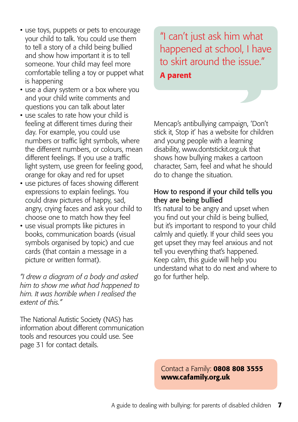- use toys, puppets or pets to encourage your child to talk. You could use them to tell a story of a child being bullied and show how important it is to tell someone. Your child may feel more comfortable telling a toy or puppet what is happening
- use a diary system or a box where you and your child write comments and questions you can talk about later
- use scales to rate how your child is feeling at different times during their day. For example, you could use numbers or traffic light symbols, where the different numbers, or colours, mean different feelings. If you use a traffic light system, use green for feeling good, orange for okay and red for upset
- use pictures of faces showing different expressions to explain feelings. You could draw pictures of happy, sad, angry, crying faces and ask your child to choose one to match how they feel
- use visual prompts like pictures in books, communication boards (visual symbols organised by topic) and cue cards (that contain a message in a picture or written format).

*"I drew a diagram of a body and asked him to show me what had happened to him. It was horrible when I realised the extent of this."*

The National Autistic Society (NAS) has information about different communication tools and resources you could use. See page 31 for contact details.

"I can't just ask him what happened at school, I have to skirt around the issue." A parent

Mencap's antibullying campaign, 'Don't stick it, Stop it' has a website for children and young people with a learning disability, [www.dontstickit.org.uk](http://www.dontstickit.org.uk) that shows how bullying makes a cartoon character, Sam, feel and what he should do to change the situation.

#### How to respond if your child tells you they are being bullied

It's natural to be angry and upset when you find out your child is being bullied, but it's important to respond to your child calmly and quietly. If your child sees you get upset they may feel anxious and not tell you everything that's happened. Keep calm, this guide will help you understand what to do next and where to go for further help.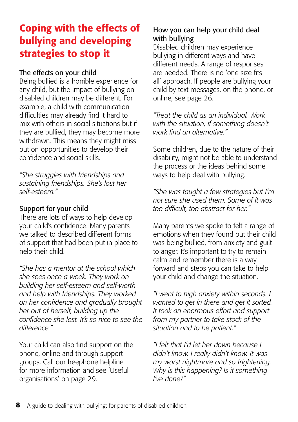# <span id="page-7-0"></span>Coping with the effects of bullying and developing strategies to stop it

#### The effects on your child

Being bullied is a horrible experience for any child, but the impact of bullying on disabled children may be different. For example, a child with communication difficulties may already find it hard to mix with others in social situations but if they are bullied, they may become more withdrawn. This means they might miss out on opportunities to develop their confidence and social skills.

*"She struggles with friendships and sustaining friendships. She's lost her self-esteem."*

### Support for your child

There are lots of ways to help develop your child's confidence. Many parents we talked to described different forms of support that had been put in place to help their child.

*"She has a mentor at the school which she sees once a week. They work on building her self-esteem and self-worth and help with friendships. They worked on her confidence and gradually brought her out of herself, building up the confidence she lost. It's so nice to see the difference."*

Your child can also find support on the phone, online and through support groups. Call our freephone helpline for more information and see 'Useful organisations' on page 29.

# How you can help your child deal with bullying

Disabled children may experience bullying in different ways and have different needs. A range of responses are needed. There is no 'one size fits all' approach. If people are bullying your child by text messages, on the phone, or online, see page 26.

*"Treat the child as an individual. Work with the situation, if something doesn't work find an alternative."*

Some children, due to the nature of their disability, might not be able to understand the process or the ideas behind some ways to help deal with bullying.

*"She was taught a few strategies but I'm not sure she used them. Some of it was too difficult, too abstract for her."*

Many parents we spoke to felt a range of emotions when they found out their child was being bullied, from anxiety and guilt to anger. It's important to try to remain calm and remember there is a way forward and steps you can take to help your child and change the situation.

*"I went to high anxiety within seconds. I wanted to get in there and get it sorted. It took an enormous effort and support from my partner to take stock of the situation and to be patient."*

*"I felt that I'd let her down because I didn't know. I really didn't know. It was my worst nightmare and so frightening. Why is this happening? Is it something I've done?"*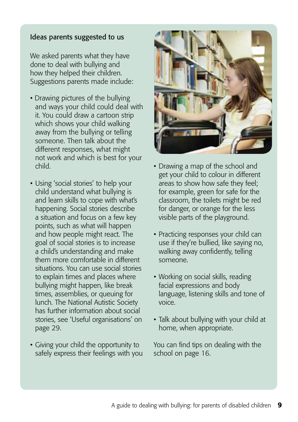#### Ideas parents suggested to us

We asked parents what they have done to deal with bullying and how they helped their children. Suggestions parents made include:

- Drawing pictures of the bullying and ways your child could deal with it. You could draw a cartoon strip which shows your child walking away from the bullying or telling someone. Then talk about the different responses, what might not work and which is best for your child.
- Using 'social stories' to help your child understand what bullying is and learn skills to cope with what's happening. Social stories describe a situation and focus on a few key points, such as what will happen and how people might react. The goal of social stories is to increase a child's understanding and make them more comfortable in different situations. You can use social stories to explain times and places where bullying might happen, like break times, assemblies, or queuing for lunch. The National Autistic Society has further information about social stories, see 'Useful organisations' on page 29.
- Giving your child the opportunity to safely express their feelings with you



- Drawing a map of the school and get your child to colour in different areas to show how safe they feel; for example, green for safe for the classroom, the toilets might be red for danger, or orange for the less visible parts of the playground.
- Practicing responses your child can use if they're bullied, like saying no, walking away confidently, telling someone.
- Working on social skills, reading facial expressions and body language, listening skills and tone of voice.
- Talk about bullying with your child at home, when appropriate.

You can find tips on dealing with the school on page 16.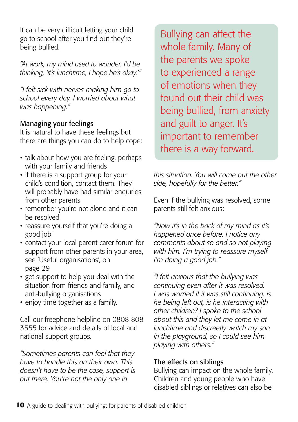It can be very difficult letting your child go to school after you find out they're being bullied.

*"At work, my mind used to wander. I'd be thinking, 'it's lunchtime, I hope he's okay.'"*

*"I felt sick with nerves making him go to school every day. I worried about what was happening."* 

#### Managing your feelings

It is natural to have these feelings but there are things you can do to help cope:

- talk about how you are feeling, perhaps with your family and friends
- if there is a support group for your child's condition, contact them. They will probably have had similar enquiries from other parents
- remember you're not alone and it can be resolved
- reassure yourself that you're doing a good job
- contact your local parent carer forum for support from other parents in your area, see 'Useful organisations', on page 29
- get support to help you deal with the situation from friends and family, and anti-bullying organisations
- enjoy time together as a family.

Call our freephone helpline on 0808 808 3555 for advice and details of local and national support groups.

*"Sometimes parents can feel that they have to handle this on their own. This doesn't have to be the case, support is out there. You're not the only one in*

Bullying can affect the whole family. Many of the parents we spoke to experienced a range of emotions when they found out their child was being bullied, from anxiety and guilt to anger. It's important to remember there is a way forward.

*this situation. You will come out the other side, hopefully for the better."*

Even if the bullying was resolved, some parents still felt anxious:

*"Now it's in the back of my mind as it's happened once before. I notice any comments about so and so not playing with him. I'm trying to reassure myself I'm doing a good job."*

*"I felt anxious that the bullying was continuing even after it was resolved. I was worried if it was still continuing, is he being left out, is he interacting with other children? I spoke to the school about this and they let me come in at lunchtime and discreetly watch my son in the playground, so I could see him playing with others."*

#### The effects on siblings

Bullying can impact on the whole family. Children and young people who have disabled siblings or relatives can also be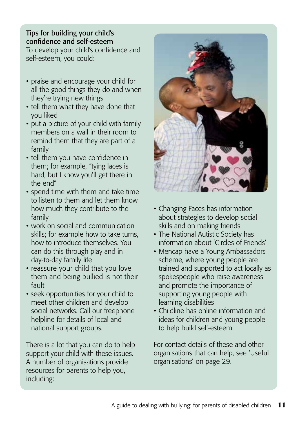# Tips for building your child's confidence and self-esteem

To develop your child's confidence and self-esteem, you could:

- praise and encourage your child for all the good things they do and when they're trying new things
- tell them what they have done that you liked
- put a picture of your child with family members on a wall in their room to remind them that they are part of a family
- tell them you have confidence in them; for example, "tying laces is hard, but I know you'll get there in the end"
- spend time with them and take time to listen to them and let them know how much they contribute to the family
- work on social and communication skills; for example how to take turns, how to introduce themselves. You can do this through play and in day-to-day family life
- reassure your child that you love them and being bullied is not their fault
- seek opportunities for your child to meet other children and develop social networks. Call our freephone helpline for details of local and national support groups.

There is a lot that you can do to help support your child with these issues. A number of organisations provide resources for parents to help you, including:



- Changing Faces has information about strategies to develop social skills and on making friends
- The National Autistic Society has information about 'Circles of Friends'
- Mencap have a Young Ambassadors scheme, where young people are trained and supported to act locally as spokespeople who raise awareness and promote the importance of supporting young people with learning disabilities
- Childline has online information and ideas for children and young people to help build self-esteem.

For contact details of these and other organisations that can help, see 'Useful organisations' on page 29.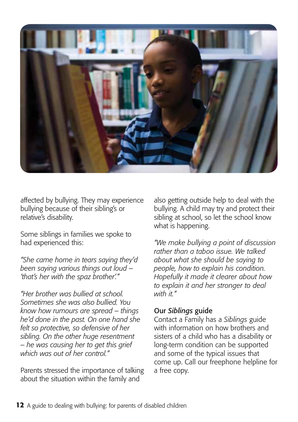<span id="page-11-0"></span>

affected by bullying. They may experience bullying because of their sibling's or relative's disability.

Some siblings in families we spoke to had experienced this:

*"She came home in tears saying they'd been saying various things out loud – 'that's her with the spaz brother'."*

*"Her brother was bullied at school. Sometimes she was also bullied. You know how rumours are spread – things he'd done in the past. On one hand she felt so protective, so defensive of her sibling. On the other huge resentment – he was causing her to get this grief which was out of her control."*

Parents stressed the importance of talking about the situation within the family and

also getting outside help to deal with the bullying. A child may try and protect their sibling at school, so let the school know what is happening.

*"We make bullying a point of discussion rather than a taboo issue. We talked about what she should be saying to people, how to explain his condition. Hopefully it made it clearer about how to explain it and her stronger to deal with it."* 

#### Our *Siblings* guide

Contact a Family has a *Siblings* guide with information on how brothers and sisters of a child who has a disability or long-term condition can be supported and some of the typical issues that come up. Call our freephone helpline for a free copy.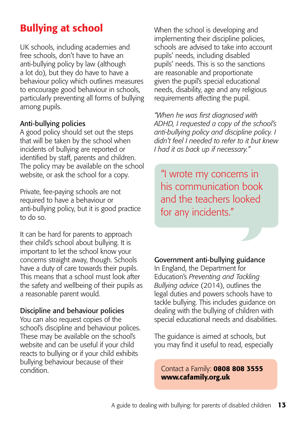# Bullying at school

UK schools, including academies and free schools, don't have to have an anti-bullying policy by law (although a lot do), but they do have to have a behaviour policy which outlines measures to encourage good behaviour in schools, particularly preventing all forms of bullying among pupils.

### Anti-bullying policies

A good policy should set out the steps that will be taken by the school when incidents of bullying are reported or identified by staff, parents and children. The policy may be available on the school website, or ask the school for a copy.

Private, fee-paying schools are not required to have a behaviour or anti-bullying policy, but it is good practice to do so.

It can be hard for parents to approach their child's school about bullying. It is important to let the school know your concerns straight away, though. Schools have a duty of care towards their pupils. This means that a school must look after the safety and wellbeing of their pupils as a reasonable parent would.

# Discipline and behaviour policies

You can also request copies of the school's discipline and behaviour polices. These may be available on the school's website and can be useful if your child reacts to bullying or if your child exhibits bullying behaviour because of their condition.

When the school is developing and implementing their discipline policies, schools are advised to take into account pupils' needs, including disabled pupils' needs. This is so the sanctions are reasonable and proportionate given the pupil's special educational needs, disability, age and any religious requirements affecting the pupil.

*"When he was first diagnosed with ADHD, I requested a copy of the school's anti-bullying policy and discipline policy. I didn't feel I needed to refer to it but knew I had it as back up if necessary."*

"I wrote my concerns in his communication book and the teachers looked for any incidents."

# Government anti-bullying guidance

In England, the Department for Education's *Preventing and Tackling Bullying advice* (2014), outlines the legal duties and powers schools have to tackle bullying. This includes guidance on dealing with the bullying of children with special educational needs and disabilities.

The guidance is aimed at schools, but you may find it useful to read, especially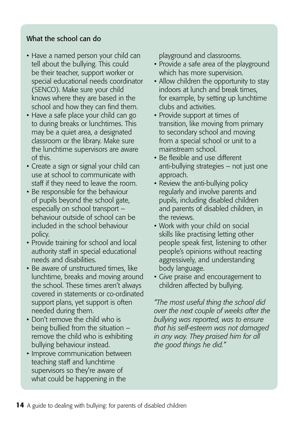#### What the school can do

- Have a named person your child can tell about the bullying. This could be their teacher, support worker or special educational needs coordinator (SENCO). Make sure your child knows where they are based in the school and how they can find them.
- Have a safe place your child can go to during breaks or lunchtimes. This may be a quiet area, a designated classroom or the library. Make sure the lunchtime supervisors are aware of this.
- Create a sign or signal your child can use at school to communicate with staff if they need to leave the room.
- Be responsible for the behaviour of pupils beyond the school gate, especially on school transport – behaviour outside of school can be included in the school behaviour policy.
- Provide training for school and local authority staff in special educational needs and disabilities.
- Be aware of unstructured times, like lunchtime, breaks and moving around the school. These times aren't always covered in statements or co-ordinated support plans, yet support is often needed during them.
- Don't remove the child who is being bullied from the situation – remove the child who is exhibiting bullying behaviour instead.
- Improve communication between teaching staff and lunchtime supervisors so they're aware of what could be happening in the

playground and classrooms.

- Provide a safe area of the playground which has more supervision.
- Allow children the opportunity to stay indoors at lunch and break times, for example, by setting up lunchtime clubs and activities.
- Provide support at times of transition, like moving from primary to secondary school and moving from a special school or unit to a mainstream school.
- Be flexible and use different anti-bullying strategies – not just one approach.
- Review the anti-bullying policy regularly and involve parents and pupils, including disabled children and parents of disabled children, in the reviews.
- Work with your child on social skills like practising letting other people speak first, listening to other people's opinions without reacting aggressively, and understanding body language.
- Give praise and encouragement to children affected by bullying.

*"The most useful thing the school did over the next couple of weeks after the bullying was reported, was to ensure that his self-esteem was not damaged in any way. They praised him for all the good things he did."*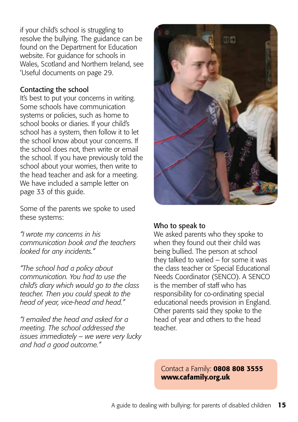if your child's school is struggling to resolve the bullying. The guidance can be found on the Department for Education website. For guidance for schools in Wales, Scotland and Northern Ireland, see 'Useful documents on page 29.

#### Contacting the school

It's best to put your concerns in writing. Some schools have communication systems or policies, such as home to school books or diaries. If your child's school has a system, then follow it to let the school know about your concerns. If the school does not, then write or email the school. If you have previously told the school about your worries, then write to the head teacher and ask for a meeting. We have included a sample letter on page 33 of this guide.

Some of the parents we spoke to used these systems:

*"I wrote my concerns in his communication book and the teachers looked for any incidents."*

*"The school had a policy about communication. You had to use the child's diary which would go to the class teacher. Then you could speak to the head of year, vice-head and head."*

*"I emailed the head and asked for a meeting. The school addressed the issues immediately – we were very lucky and had a good outcome."*



#### Who to speak to

We asked parents who they spoke to when they found out their child was being bullied. The person at school they talked to varied – for some it was the class teacher or Special Educational Needs Coordinator (SENCO). A SENCO is the member of staff who has responsibility for co-ordinating special educational needs provision in England. Other parents said they spoke to the head of year and others to the head teacher.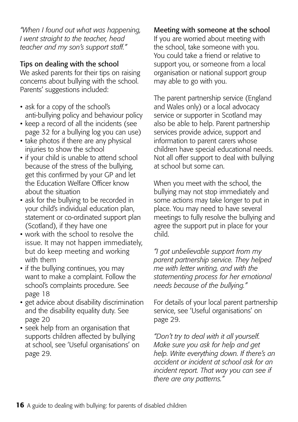*"When I found out what was happening, I went straight to the teacher, head teacher and my son's support staff."*

### Tips on dealing with the school

We asked parents for their tips on raising concerns about bullying with the school. Parents' suggestions included:

- ask for a copy of the school's anti-bullying policy and behaviour policy
- keep a record of all the incidents (see page 32 for a bullying log you can use)
- take photos if there are any physical injuries to show the school
- if your child is unable to attend school because of the stress of the bullying, get this confirmed by your GP and let the Education Welfare Officer know about the situation
- ask for the bullying to be recorded in your child's individual education plan, statement or co-ordinated support plan (Scotland), if they have one
- work with the school to resolve the issue. It may not happen immediately, but do keep meeting and working with them
- if the bullying continues, you may want to make a complaint. Follow the school's complaints procedure. See page 18
- get advice about disability discrimination and the disability equality duty. See page 20
- seek help from an organisation that supports children affected by bullying at school, see 'Useful organisations' on page 29.

#### Meeting with someone at the school

If you are worried about meeting with the school, take someone with you. You could take a friend or relative to support you, or someone from a local organisation or national support group may able to go with you.

The parent partnership service (England and Wales only) or a local advocacy service or supporter in Scotland may also be able to help. Parent partnership services provide advice, support and information to parent carers whose children have special educational needs. Not all offer support to deal with bullying at school but some can.

When you meet with the school, the bullying may not stop immediately and some actions may take longer to put in place. You may need to have several meetings to fully resolve the bullying and agree the support put in place for your child.

*"I got unbelievable support from my parent partnership service. They helped me with letter writing, and with the statementing process for her emotional needs because of the bullying."*

For details of your local parent partnership service, see 'Useful organisations' on page 29.

*"Don't try to deal with it all yourself. Make sure you ask for help and get help. Write everything down. If there's an accident or incident at school ask for an incident report. That way you can see if there are any patterns."*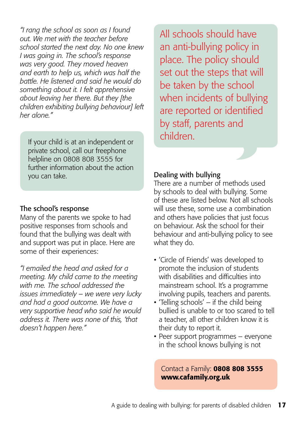*"I rang the school as soon as I found out. We met with the teacher before school started the next day. No one knew I was going in. The school's response was very good. They moved heaven and earth to help us, which was half the battle. He listened and said he would do something about it. I felt apprehensive about leaving her there. But they [the children exhibiting bullying behaviour] left her alone."*

If your child is at an independent or private school, call our freephone helpline on 0808 808 3555 for further information about the action you can take.

#### The school's response

Many of the parents we spoke to had positive responses from schools and found that the bullying was dealt with and support was put in place. Here are some of their experiences:

*"I emailed the head and asked for a meeting. My child came to the meeting with me. The school addressed the issues immediately – we were very lucky and had a good outcome. We have a very supportive head who said he would address it. There was none of this, 'that doesn't happen here."*

All schools should have an anti-bullying policy in place. The policy should set out the steps that will be taken by the school when incidents of bullying are reported or identified by staff, parents and children.

#### Dealing with bullying

There are a number of methods used by schools to deal with bullying. Some of these are listed below. Not all schools will use these, some use a combination and others have policies that just focus on behaviour. Ask the school for their behaviour and anti-bullying policy to see what they do.

- 'Circle of Friends' was developed to promote the inclusion of students with disabilities and difficulties into mainstream school. It's a programme involving pupils, teachers and parents.
- 'Telling schools' if the child being bullied is unable to or too scared to tell a teacher, all other children know it is their duty to report it.
- Peer support programmes everyone in the school knows bullying is not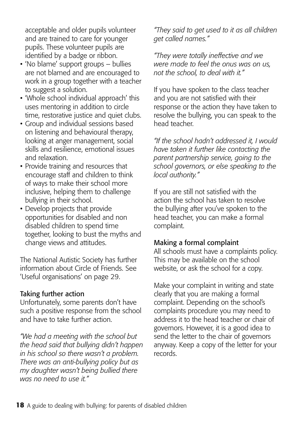acceptable and older pupils volunteer and are trained to care for younger pupils. These volunteer pupils are identified by a badge or ribbon.

- 'No blame' support groups bullies are not blamed and are encouraged to work in a group together with a teacher to suggest a solution.
- 'Whole school individual approach' this uses mentoring in addition to circle time, restorative justice and quiet clubs.
- Group and individual sessions based on listening and behavioural therapy, looking at anger management, social skills and resilience, emotional issues and relaxation.
- Provide training and resources that encourage staff and children to think of ways to make their school more inclusive, helping them to challenge bullying in their school.
- Develop projects that provide opportunities for disabled and non disabled children to spend time together, looking to bust the myths and change views and attitudes.

The National Autistic Society has further information about Circle of Friends. See 'Useful organisations' on page 29.

#### Taking further action

Unfortunately, some parents don't have such a positive response from the school and have to take further action.

*"We had a meeting with the school but the head said that bullying didn't happen in his school so there wasn't a problem. There was an anti-bullying policy but as my daughter wasn't being bullied there was no need to use it."* 

*"They said to get used to it as all children get called names."*

*"They were totally ineffective and we were made to feel the onus was on us, not the school, to deal with it."*

If you have spoken to the class teacher and you are not satisfied with their response or the action they have taken to resolve the bullying, you can speak to the head teacher.

*"If the school hadn't addressed it, I would have taken it further like contacting the parent partnership service, going to the school governors, or else speaking to the local authority."*

If you are still not satisfied with the action the school has taken to resolve the bullying after you've spoken to the head teacher, you can make a formal complaint.

#### Making a formal complaint

All schools must have a complaints policy. This may be available on the school website, or ask the school for a copy.

Make your complaint in writing and state clearly that you are making a formal complaint. Depending on the school's complaints procedure you may need to address it to the head teacher or chair of governors. However, it is a good idea to send the letter to the chair of governors anyway. Keep a copy of the letter for your records.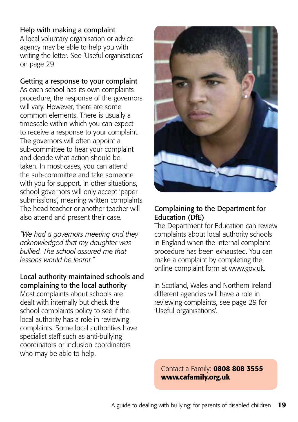#### Help with making a complaint

A local voluntary organisation or advice agency may be able to help you with writing the letter. See 'Useful organisations' on page 29.

#### Getting a response to your complaint

As each school has its own complaints procedure, the response of the governors will vary. However, there are some common elements. There is usually a timescale within which you can expect to receive a response to your complaint. The governors will often appoint a sub-committee to hear your complaint and decide what action should be taken. In most cases, you can attend the sub-committee and take someone with you for support. In other situations, school governors will only accept 'paper submissions', meaning written complaints. The head teacher or another teacher will also attend and present their case.

*"We had a governors meeting and they acknowledged that my daughter was bullied. The school assured me that lessons would be learnt."*

### Local authority maintained schools and complaining to the local authority

Most complaints about schools are dealt with internally but check the school complaints policy to see if the local authority has a role in reviewing complaints. Some local authorities have specialist staff such as anti-bullying coordinators or inclusion coordinators who may be able to help.



#### Complaining to the Department for Education (DfE)

The Department for Education can review complaints about local authority schools in England when the internal complaint procedure has been exhausted. You can make a complaint by completing the online complaint form at [www.gov.uk.](http://www.education.gov.uk/form/school-complaints-form)

In Scotland, Wales and Northern Ireland different agencies will have a role in reviewing complaints, see page 29 for 'Useful organisations'.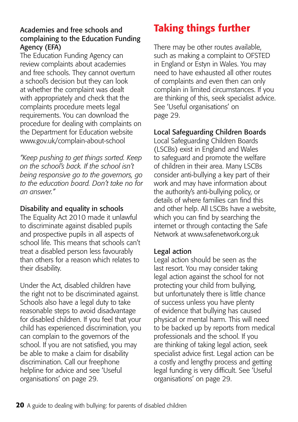#### <span id="page-19-0"></span>Academies and free schools and complaining to the Education Funding Agency (EFA)

The Education Funding Agency can review complaints about academies and free schools. They cannot overturn a school's decision but they can look at whether the complaint was dealt with appropriately and check that the complaints procedure meets legal requirements. You can download the procedure for dealing with complaints on the Department for Education website [www.gov.uk/complain-about-school](http://www.gov.uk/complain-about-school)

*"Keep pushing to get things sorted. Keep on the school's back. If the school isn't being responsive go to the governors, go to the education board. Don't take no for an answer."*

### Disability and equality in schools

The Equality Act 2010 made it unlawful to discriminate against disabled pupils and prospective pupils in all aspects of school life. This means that schools can't treat a disabled person less favourably than others for a reason which relates to their disability.

Under the Act, disabled children have the right not to be discriminated against. Schools also have a legal duty to take reasonable steps to avoid disadvantage for disabled children. If you feel that your child has experienced discrimination, you can complain to the governors of the school. If you are not satisfied, you may be able to make a claim for disability discrimination. Call our freephone helpline for advice and see 'Useful organisations' on page 29.

# Taking things further

There may be other routes available, such as making a complaint to OFSTED in England or Estyn in Wales. You may need to have exhausted all other routes of complaints and even then can only complain in limited circumstances. If you are thinking of this, seek specialist advice. See 'Useful organisations' on page 29.

#### Local Safeguarding Children Boards

Local Safeguarding Children Boards (LSCBs) exist in England and Wales to safeguard and promote the welfare of children in their area. Many LSCBs consider anti-bullying a key part of their work and may have information about the authority's anti-bullying policy, or details of where families can find this and other help. All LSCBs have a website, which you can find by searching the internet or through contacting the Safe Network at www.safenetwork.org.uk

#### Legal action

Legal action should be seen as the last resort. You may consider taking legal action against the school for not protecting your child from bullying, but unfortunately there is little chance of success unless you have plenty of evidence that bullying has caused physical or mental harm. This will need to be backed up by reports from medical professionals and the school. If you are thinking of taking legal action, seek specialist advice first. Legal action can be a costly and lengthy process and getting legal funding is very difficult. See 'Useful organisations' on page 29.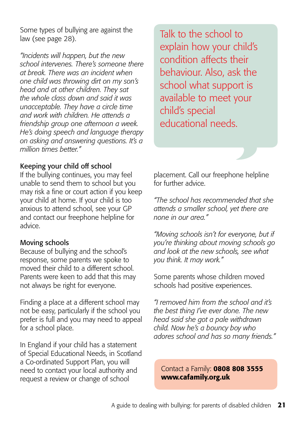<span id="page-20-0"></span>Some types of bullying are against the law (see page 28).

*"Incidents will happen, but the new school intervenes. There's someone there at break. There was an incident when one child was throwing dirt on my son's head and at other children. They sat the whole class down and said it was unacceptable. They have a circle time and work with children. He attends a friendship group one afternoon a week. He's doing speech and language therapy on asking and answering questions. It's a million times better."* 

#### Keeping your child off school

If the bullying continues, you may feel unable to send them to school but you may risk a fine or court action if you keep your child at home. If your child is too anxious to attend school, see your GP and contact our freephone helpline for advice.

#### Moving schools

Because of bullying and the school's response, some parents we spoke to moved their child to a different school. Parents were keen to add that this may not always be right for everyone.

Finding a place at a different school may not be easy, particularly if the school you prefer is full and you may need to appeal for a school place.

In England if your child has a statement of Special Educational Needs, in Scotland a Co-ordinated Support Plan, you will need to contact your local authority and request a review or change of school

Talk to the school to explain how your child's condition affects their behaviour. Also, ask the school what support is available to meet your child's special educational needs.

placement. Call our freephone helpline for further advice.

*"The school has recommended that she attends a smaller school, yet there are none in our area."*

*"Moving schools isn't for everyone, but if you're thinking about moving schools go and look at the new schools, see what you think. It may work."*

Some parents whose children moved schools had positive experiences.

*"I removed him from the school and it's the best thing I've ever done. The new head said she got a pale withdrawn child. Now he's a bouncy boy who adores school and has so many friends."*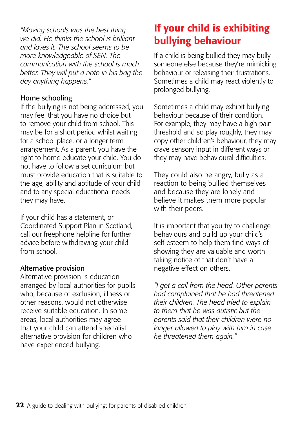*"Moving schools was the best thing we did. He thinks the school is brilliant and loves it. The school seems to be more knowledgeable of SEN. The communication with the school is much better. They will put a note in his bag the day anything happens."*

#### Home schooling

If the bullying is not being addressed, you may feel that you have no choice but to remove your child from school. This may be for a short period whilst waiting for a school place, or a longer term arrangement. As a parent, you have the right to home educate your child. You do not have to follow a set curriculum but must provide education that is suitable to the age, ability and aptitude of your child and to any special educational needs they may have.

If your child has a statement, or Coordinated Support Plan in Scotland, call our freephone helpline for further advice before withdrawing your child from school.

#### Alternative provision

Alternative provision is education arranged by local authorities for pupils who, because of exclusion, illness or other reasons, would not otherwise receive suitable education. In some areas, local authorities may agree that your child can attend specialist alternative provision for children who have experienced bullying.

# If your child is exhibiting bullying behaviour

If a child is being bullied they may bully someone else because they're mimicking behaviour or releasing their frustrations. Sometimes a child may react violently to prolonged bullying.

Sometimes a child may exhibit bullying behaviour because of their condition. For example, they may have a high pain threshold and so play roughly, they may copy other children's behaviour, they may crave sensory input in different ways or they may have behavioural difficulties.

They could also be angry, bully as a reaction to being bullied themselves and because they are lonely and believe it makes them more popular with their peers.

It is important that you try to challenge behaviours and build up your child's self-esteem to help them find ways of showing they are valuable and worth taking notice of that don't have a negative effect on others.

*"I got a call from the head. Other parents had complained that he had threatened their children. The head tried to explain to them that he was autistic but the parents said that their children were no longer allowed to play with him in case he threatened them again."*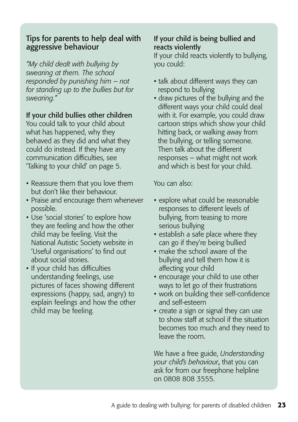#### <span id="page-22-0"></span>Tips for parents to help deal with aggressive behaviour

*"My child dealt with bullying by swearing at them. The school responded by punishing him – not for standing up to the bullies but for swearing."*

#### If your child bullies other children

You could talk to your child about what has happened, why they behaved as they did and what they could do instead. If they have any communication difficulties, see 'Talking to your child' on page 5.

- Reassure them that you love them but don't like their behaviour.
- Praise and encourage them whenever possible.
- Use 'social stories' to explore how they are feeling and how the other child may be feeling. Visit the National Autistic Society website in 'Useful organisations' to find out about social stories.
- If your child has difficulties understanding feelings, use pictures of faces showing different expressions (happy, sad, angry) to explain feelings and how the other child may be feeling.

### If your child is being bullied and reacts violently

If your child reacts violently to bullying, you could:

- talk about different ways they can respond to bullying
- draw pictures of the bullying and the different ways your child could deal with it. For example, you could draw cartoon strips which show your child hitting back, or walking away from the bullying, or telling someone. Then talk about the different responses – what might not work and which is best for your child.

You can also:

- explore what could be reasonable responses to different levels of bullying, from teasing to more serious bullying
- establish a safe place where they can go if they're being bullied
- make the school aware of the bullying and tell them how it is affecting your child
- encourage your child to use other ways to let go of their frustrations
- work on building their self-confidence and self-esteem
- create a sign or signal they can use to show staff at school if the situation becomes too much and they need to leave the room.

We have a free guide, *Understanding your child's behaviour*, that you can ask for from our freephone helpline on 0808 808 3555.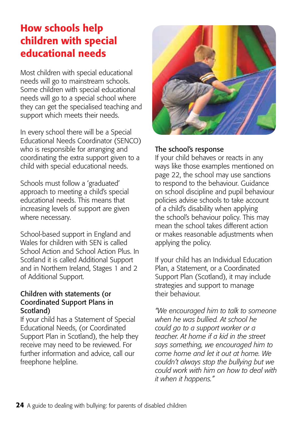# How schools help children with special educational needs

Most children with special educational needs will go to mainstream schools. Some children with special educational needs will go to a special school where they can get the specialised teaching and support which meets their needs.

In every school there will be a Special Educational Needs Coordinator (SENCO) who is responsible for arranging and coordinating the extra support given to a child with special educational needs.

Schools must follow a 'graduated' approach to meeting a child's special educational needs. This means that increasing levels of support are given where necessary.

School-based support in England and Wales for children with SEN is called School Action and School Action Plus. In Scotland it is called Additional Support and in Northern Ireland, Stages 1 and 2 of Additional Support.

#### Children with statements (or Coordinated Support Plans in Scotland)

If your child has a Statement of Special Educational Needs, (or Coordinated Support Plan in Scotland), the help they receive may need to be reviewed. For further information and advice, call our freephone helpline.



#### The school's response

If your child behaves or reacts in any ways like those examples mentioned on page 22, the school may use sanctions to respond to the behaviour. Guidance on school discipline and pupil behaviour policies advise schools to take account of a child's disability when applying the school's behaviour policy. This may mean the school takes different action or makes reasonable adjustments when applying the policy.

If your child has an Individual Education Plan, a Statement, or a Coordinated Support Plan (Scotland), it may include strategies and support to manage their behaviour.

*"We encouraged him to talk to someone when he was bullied. At school he could go to a support worker or a teacher. At home if a kid in the street says something, we encouraged him to come home and let it out at home. We couldn't always stop the bullying but we could work with him on how to deal with it when it happens."*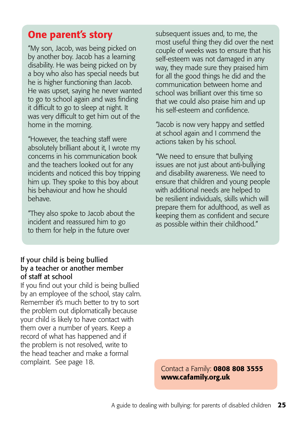# <span id="page-24-0"></span>One parent's story

"My son, Jacob, was being picked on by another boy. Jacob has a learning disability. He was being picked on by a boy who also has special needs but he is higher functioning than Jacob. He was upset, saying he never wanted to go to school again and was finding it difficult to go to sleep at night. It was very difficult to get him out of the home in the morning.

"However, the teaching staff were absolutely brilliant about it, I wrote my concerns in his communication book and the teachers looked out for any incidents and noticed this boy tripping him up. They spoke to this boy about his behaviour and how he should behave.

"They also spoke to Jacob about the incident and reassured him to go to them for help in the future over

subsequent issues and, to me, the most useful thing they did over the next couple of weeks was to ensure that his self-esteem was not damaged in any way, they made sure they praised him for all the good things he did and the communication between home and school was brilliant over this time so that we could also praise him and up his self-esteem and confidence.

"Jacob is now very happy and settled at school again and I commend the actions taken by his school.

"We need to ensure that bullying issues are not just about anti-bullying and disability awareness. We need to ensure that children and young people with additional needs are helped to be resilient individuals, skills which will prepare them for adulthood, as well as keeping them as confident and secure as possible within their childhood."

#### If your child is being bullied by a teacher or another member of staff at school

If you find out your child is being bullied by an employee of the school, stay calm. Remember it's much better to try to sort the problem out diplomatically because your child is likely to have contact with them over a number of years. Keep a record of what has happened and if the problem is not resolved, write to the head teacher and make a formal complaint. See page 18.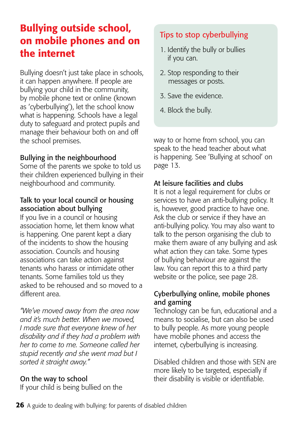# Bullying outside school, on mobile phones and on the internet

Bullying doesn't just take place in schools, it can happen anywhere. If people are bullying your child in the community, by mobile phone text or online (known as 'cyberbullying'), let the school know what is happening. Schools have a legal duty to safeguard and protect pupils and manage their behaviour both on and off the school premises.

### Bullying in the neighbourhood

Some of the parents we spoke to told us their children experienced bullying in their neighbourhood and community.

# Talk to your local council or housing association about bullying

If you live in a council or housing association home, let them know what is happening. One parent kept a diary of the incidents to show the housing association. Councils and housing associations can take action against tenants who harass or intimidate other tenants. Some families told us they asked to be rehoused and so moved to a different area.

*"We've moved away from the area now and it's much better. When we moved, I made sure that everyone knew of her disability and if they had a problem with her to come to me. Someone called her stupid recently and she went mad but I sorted it straight away."* 

# On the way to school

If your child is being bullied on the

# Tips to stop cyberbullying

- 1. Identify the bully or bullies if you can.
- 2. Stop responding to their messages or posts.
- 3. Save the evidence.
- 4. Block the bully.

way to or home from school, you can speak to the head teacher about what is happening. See 'Bullying at school' on page 13.

# At leisure facilities and clubs

It is not a legal requirement for clubs or services to have an anti-bullying policy. It is, however, good practice to have one. Ask the club or service if they have an anti-bullying policy. You may also want to talk to the person organising the club to make them aware of any bullying and ask what action they can take. Some types of bullying behaviour are against the law. You can report this to a third party website or the police, see page 28.

#### Cyberbullying online, mobile phones and gaming

Technology can be fun, educational and a means to socialise, but can also be used to bully people. As more young people have mobile phones and access the internet, cyberbullying is increasing.

Disabled children and those with SEN are more likely to be targeted, especially if their disability is visible or identifiable.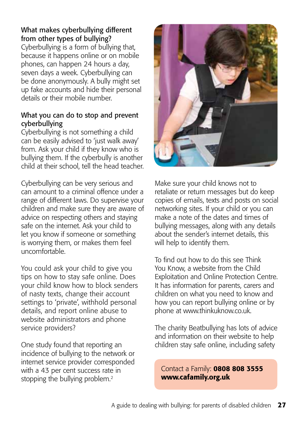### What makes cyberbullying different from other types of bullying?

Cyberbullying is a form of bullying that, because it happens online or on mobile phones, can happen 24 hours a day, seven days a week. Cyberbullying can be done anonymously. A bully might set up fake accounts and hide their personal details or their mobile number.

#### What you can do to stop and prevent cyberbullying

Cyberbullying is not something a child can be easily advised to 'just walk away' from. Ask your child if they know who is bullying them. If the cyberbully is another child at their school, tell the head teacher.

Cyberbullying can be very serious and can amount to a criminal offence under a range of different laws. Do supervise your children and make sure they are aware of advice on respecting others and staying safe on the internet. Ask your child to let you know if someone or something is worrying them, or makes them feel uncomfortable.

You could ask your child to give you tips on how to stay safe online. Does your child know how to block senders of nasty texts, change their account settings to 'private', withhold personal details, and report online abuse to website administrators and phone service providers?

One study found that reporting an incidence of bullying to the network or internet service provider corresponded with a 43 per cent success rate in stopping the bullying problem.2



Make sure your child knows not to retaliate or return messages but do keep copies of emails, texts and posts on social networking sites. If your child or you can make a note of the dates and times of bullying messages, along with any details about the sender's internet details, this will help to identify them.

To find out how to do this see Think You Know, a website from the Child Exploitation and Online Protection Centre. It has information for parents, carers and children on what you need to know and how you can report bullying online or by phone at www.thinkuknow.co.uk.

The charity Beatbullying has lots of advice and information on their website to help children stay safe online, including safety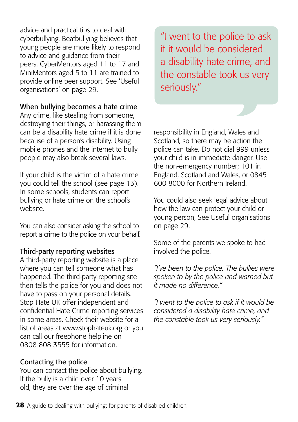advice and practical tips to deal with cyberbullying. Beatbullying believes that young people are more likely to respond to advice and guidance from their peers. CyberMentors aged 11 to 17 and MiniMentors aged 5 to 11 are trained to provide online peer support. See 'Useful organisations' on page 29.

#### When bullying becomes a hate crime

Any crime, like stealing from someone, destroying their things, or harassing them can be a disability hate crime if it is done because of a person's disability. Using mobile phones and the internet to bully people may also break several laws.

If your child is the victim of a hate crime you could tell the school (see page 13). In some schools, students can report bullying or hate crime on the school's website.

You can also consider asking the school to report a crime to the police on your behalf.

#### Third-party reporting websites

A third-party reporting website is a place where you can tell someone what has happened. The third-party reporting site then tells the police for you and does not have to pass on your personal details. Stop Hate UK offer independent and confidential Hate Crime reporting services in some areas. Check their website for a list of areas at www.stophateuk.org or you can call our freephone helpline on 0808 808 3555 for information.

#### Contacting the police

You can contact the police about bullying. If the bully is a child over 10 years old, they are over the age of criminal

"I went to the police to ask if it would be considered a disability hate crime, and the constable took us very seriously."

responsibility in England, Wales and Scotland, so there may be action the police can take. Do not dial 999 unless your child is in immediate danger. Use the non-emergency number; 101 in England, Scotland and Wales, or 0845 600 8000 for Northern Ireland.

You could also seek legal advice about how the law can protect your child or young person, See Useful organisations on page 29.

Some of the parents we spoke to had involved the police.

*"I've been to the police. The bullies were spoken to by the police and warned but it made no difference."*

*"I went to the police to ask if it would be considered a disability hate crime, and the constable took us very seriously."*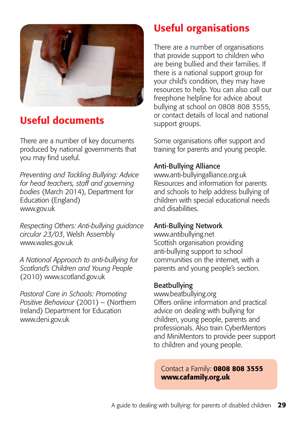

# Useful documents

There are a number of key documents produced by national governments that you may find useful.

*Preventing and Tackling Bullying: Advice for head teachers, staff and governing bodies* (March 2014), Department for Education (England) www.gov.uk

*Respecting Others: Anti-bullying guidance circular 23/03*, Welsh Assembly www.wales.gov.uk

*A National Approach to anti-bullying for Scotland's Children and Young People*  (2010) www.scotland.gov.uk

*Pastoral Care in Schools: Promoting Positive Behaviour* (2001) – (Northern Ireland) Department for Education www.deni.gov.uk

# Useful organisations

There are a number of organisations that provide support to children who are being bullied and their families. If there is a national support group for your child's condition, they may have resources to help. You can also call our freephone helpline for advice about bullying at school on 0808 808 3555, or contact details of local and national support groups.

Some organisations offer support and training for parents and young people.

### Anti-Bullying Alliance

www.anti-bullyingalliance.org.uk Resources and information for parents and schools to help address bullying of children with special educational needs and disabilities.

# Anti-Bullying Network

www.[antibullying.net](http://antibullying.net) Scottish organisation providing anti-bullying support to school communities on the internet, with a parents and young people's section.

#### Beatbullying

[www.beatbullying.org](http://www.beatbullying.org) Offers online information and practical advice on dealing with bullying for children, young people, parents and professionals. Also train CyberMentors and MiniMentors to provide peer support to children and young people.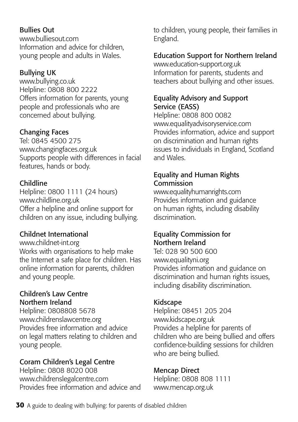### Bullies Out

[www.bulliesout.com](http://www.bulliesout.com) Information and advice for children, young people and adults in Wales.

# Bullying UK

www.bullying.co.uk Helpline: 0808 800 2222 Offers information for parents, young people and professionals who are concerned about bullying.

# Changing Faces

Tel: 0845 4500 275 [www.changingfaces.org.uk](http://www.changingfaces.org.uk) Supports people with differences in facial features, hands or body.

# Childline

Helpline: 0800 1111 (24 hours) [www.childline.org.uk](http://www.childline.org.uk) Offer a helpline and online support for children on any issue, including bullying.

# Childnet International

#### www.childnet-int.org

Works with organisations to help make the Internet a safe place for children. Has online information for parents, children and young people.

#### Children's Law Centre Northern Ireland

Helpline: 0808808 5678 www.childrenslawcentre.org Provides free information and advice on legal matters relating to children and young people.

# Coram Children's Legal Centre

Helpline: 0808 8020 008 www.childrenslegalcentre.com Provides free information and advice and to children, young people, their families in England.

# Education Support for Northern Ireland

[www.education-support.org.uk](http://www.education-support.org.uk
) Information for parents, students and teachers about bullying and other issues.

### Equality Advisory and Support Service (EASS)

Helpline: 0808 800 0082 www.equalityadvisoryservice.com Provides information, advice and support on discrimination and human rights issues to individuals in England, Scotland and Wales.

### Equality and Human Rights Commission

[www.equalityhumanrights.com](http://www.equalityhumanrights.com) Provides information and guidance on human rights, including disability discrimination.

# Equality Commission for Northern Ireland

Tel: 028 90 500 600 [www.equalityni.org](http://www.equalityni.org) Provides information and guidance on discrimination and human rights issues, including disability discrimination.

# Kidscape

Helpline: 08451 205 204 [www.kidscape.org.uk](http://www.kidscape.org.uk) Provides a helpline for parents of children who are being bullied and offers confidence-building sessions for children who are being bullied.

# Mencap Direct

Helpline: 0808 808 1111 [www.mencap.org.uk](http://www.mencap.org.uk)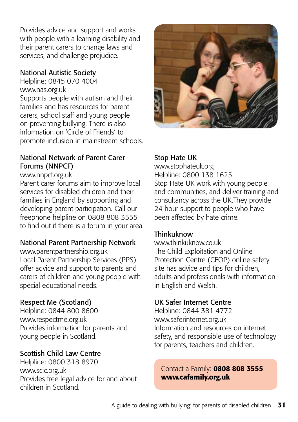Provides advice and support and works with people with a learning disability and their parent carers to change laws and services, and challenge prejudice.

### National Autistic Society

Helpline: 0845 070 4004 [www.nas.org.uk](http://www.nas.org.uk) Supports people with autism and their families and has resources for parent carers, school staff and young people on preventing bullying. There is also information on 'Circle of Friends' to promote inclusion in mainstream schools.

### National Network of Parent Carer Forums (NNPCF)

#### www.nnpcf.org.uk

Parent carer forums aim to improve local services for disabled children and their families in England by supporting and developing parent participation. Call our freephone helpline on 0808 808 3555 to find out if there is a forum in your area.

# National Parent Partnership Network

www.parentpartnership.org.uk Local Parent Partnership Services (PPS) offer advice and support to parents and carers of children and young people with special educational needs.

# Respect Me (Scotland)

Helpline: 0844 800 8600 [www.respectme.org.uk](http://www.respectme.org.uk) Provides information for parents and young people in Scotland.

# Scottish Child Law Centre

Helpline: 0800 318 8970 www.sclc.org.uk Provides free legal advice for and about children in Scotland.



# Stop Hate UK

www.stophateuk.org Helpline: 0800 138 1625 Stop Hate UK work with young people and communities, and deliver training and consultancy across the UK.They provide 24 hour support to people who have been affected by hate crime.

#### **Thinkuknow**

www.thinkuknow.co.uk The Child Exploitation and Online Protection Centre (CEOP) online safety site has advice and tips for children, adults and professionals with information in English and Welsh.

# UK Safer Internet Centre

Helpline: 0844 381 4772 www.saferinternet.org.uk Information and resources on internet safety, and responsible use of technology for parents, teachers and children.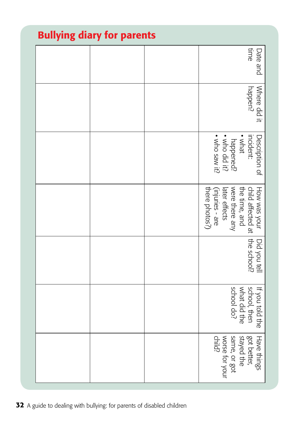| Bullying diary for parents |  |  |                                                                                                                                                       |
|----------------------------|--|--|-------------------------------------------------------------------------------------------------------------------------------------------------------|
|                            |  |  | time<br>Date and                                                                                                                                      |
|                            |  |  | Where did it<br>happen?                                                                                                                               |
|                            |  |  | Description of<br>· who saw it?<br>· who did it?<br>incident:<br>• what<br>happened?                                                                  |
|                            |  |  | (injuries - are<br>there photos?)<br>were there any<br>----> your   Did you tell<br>  child affected at   the school?<br>  w.c.-- .'<br>later effects |
|                            |  |  |                                                                                                                                                       |
|                            |  |  | school do?<br>school, then<br>what did the<br>If you told the                                                                                         |
|                            |  |  | Have things<br>same, or got<br>worse for your<br>child?<br>got better,<br>stayed the                                                                  |

# Bullying diary for parents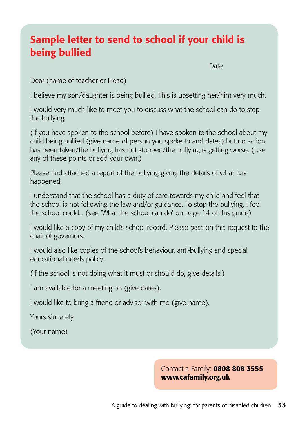# Sample letter to send to school if your child is being bullied

discussion and the contract of the contract of the contract of the Date

Dear (name of teacher or Head)

I believe my son/daughter is being bullied. This is upsetting her/him very much.

I would very much like to meet you to discuss what the school can do to stop the bullying.

(If you have spoken to the school before) I have spoken to the school about my child being bullied (give name of person you spoke to and dates) but no action has been taken/the bullying has not stopped/the bullying is getting worse. (Use any of these points or add your own.)

Please find attached a report of the bullying giving the details of what has happened.

I understand that the school has a duty of care towards my child and feel that the school is not following the law and/or guidance. To stop the bullying, I feel the school could... (see 'What the school can do' on page 14 of this guide).

I would like a copy of my child's school record. Please pass on this request to the chair of governors.

I would also like copies of the school's behaviour, anti-bullying and special educational needs policy.

(If the school is not doing what it must or should do, give details.)

I am available for a meeting on (give dates).

I would like to bring a friend or adviser with me (give name).

Yours sincerely,

(Your name)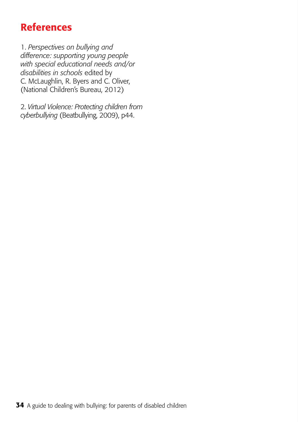# References

1. *Perspectives on bullying and difference: supporting young people with special educational needs and/or disabilities in schools* edited by C. McLaughlin, R. Byers and C. Oliver, (National Children's Bureau, 2012)

2. *Virtual Violence: Protecting children from cyberbullying* (Beatbullying, 2009), p44.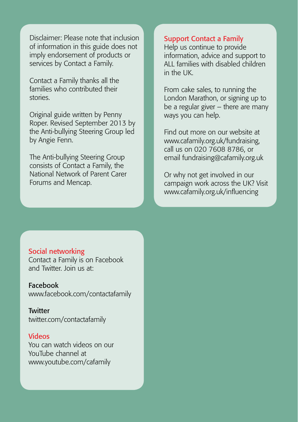Disclaimer: Please note that inclusion of information in this guide does not imply endorsement of products or services by Contact a Family.

Contact a Family thanks all the families who contributed their stories.

Original guide written by Penny Roper. Revised September 2013 by the Anti-bullying Steering Group led by Angie Fenn.

The Anti-bullying Steering Group consists of Contact a Family, the National Network of Parent Carer Forums and Mencap.

#### Support Contact a Family

Help us continue to provide information, advice and support to ALL families with disabled children  $in$  the  $I$ 

From cake sales, to running the London Marathon, or signing up to be a regular giver – there are many ways you can help.

Find out more on our website at www.cafamily.org.uk/fundraising, call us on 020 7608 8786, or email fundraising@cafamily.org.uk

Or why not get involved in our campaign work across the UK? Visit www.cafamily.org.uk/influencing

#### Social networking

Contact a Family is on Facebook and Twitter. Join us at:

Facebook [www.facebook.com](http://www.facebook.com/contactafamily)/contactafamily

**Twitter** [twitter.com/contactafamily](http://twitter.com/contactafamily)

#### Videos

You can watch videos on our YouTube channel at [www.youtube.com/cafamily](http://www.youtube.com/cafamily)